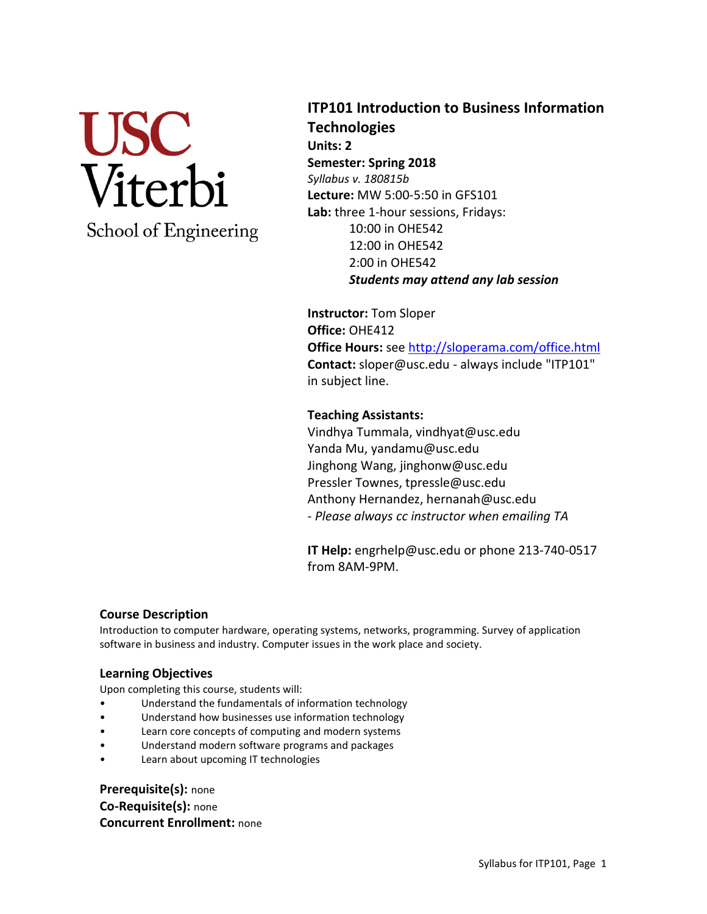

## **ITP101 Introduction to Business Information Technologies Units: 2 Semester: Spring 2018**  *Syllabus v. 180815b* **Lecture:** MW 5:00-5:50 in GFS101 **Lab:** three 1-hour sessions, Fridays: 10:00 in OHE542 12:00 in OHE542 2:00 in OHE542 *Students may attend any lab session*

**Instructor:** Tom Sloper **Office:** OHE412 **Office Hours:** se[e http://sloperama.com/office.html](http://sloperama.com/office.html) **Contact:** sloper@usc.edu - always include "ITP101" in subject line.

## **Teaching Assistants:**

Vindhya Tummala, vindhyat@usc.edu Yanda Mu, yandamu@usc.edu Jinghong Wang, jinghonw@usc.edu Pressler Townes, tpressle@usc.edu Anthony Hernandez, hernanah@usc.edu - *Please always cc instructor when emailing TA*

**IT Help:** engrhelp@usc.edu or phone 213-740-0517 from 8AM-9PM.

#### **Course Description**

Introduction to computer hardware, operating systems, networks, programming. Survey of application software in business and industry. Computer issues in the work place and society.

### **Learning Objectives**

Upon completing this course, students will:

- Understand the fundamentals of information technology
- Understand how businesses use information technology
- Learn core concepts of computing and modern systems
- Understand modern software programs and packages
- Learn about upcoming IT technologies

**Prerequisite(s):** none **Co-Requisite(s):** none **Concurrent Enrollment:** none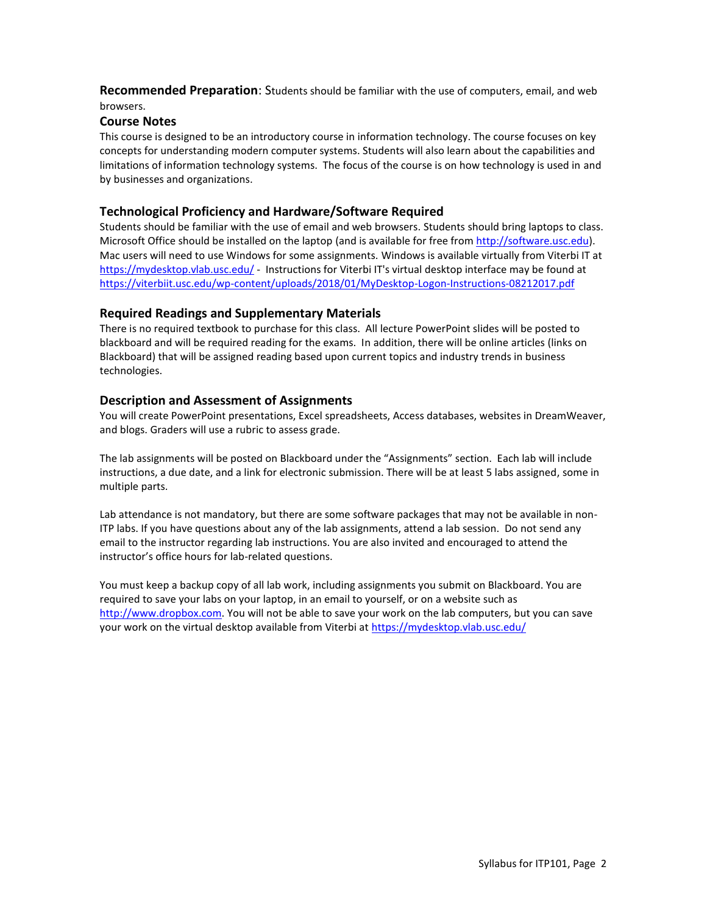**Recommended Preparation**: Students should be familiar with the use of computers, email, and web browsers.

#### **Course Notes**

This course is designed to be an introductory course in information technology. The course focuses on key concepts for understanding modern computer systems. Students will also learn about the capabilities and limitations of information technology systems. The focus of the course is on how technology is used in and by businesses and organizations.

#### **Technological Proficiency and Hardware/Software Required**

Students should be familiar with the use of email and web browsers. Students should bring laptops to class. Microsoft Office should be installed on the laptop (and is available for free fro[m http://software.usc.edu\)](http://software.usc.edu/). Mac users will need to use Windows for some assignments. Windows is available virtually from Viterbi IT at <https://mydesktop.vlab.usc.edu/> - Instructions for Viterbi IT's virtual desktop interface may be found at <https://viterbiit.usc.edu/wp-content/uploads/2018/01/MyDesktop-Logon-Instructions-08212017.pdf>

#### **Required Readings and Supplementary Materials**

There is no required textbook to purchase for this class. All lecture PowerPoint slides will be posted to blackboard and will be required reading for the exams. In addition, there will be online articles (links on Blackboard) that will be assigned reading based upon current topics and industry trends in business technologies.

#### **Description and Assessment of Assignments**

You will create PowerPoint presentations, Excel spreadsheets, Access databases, websites in DreamWeaver, and blogs. Graders will use a rubric to assess grade.

The lab assignments will be posted on Blackboard under the "Assignments" section. Each lab will include instructions, a due date, and a link for electronic submission. There will be at least 5 labs assigned, some in multiple parts.

Lab attendance is not mandatory, but there are some software packages that may not be available in non-ITP labs. If you have questions about any of the lab assignments, attend a lab session. Do not send any email to the instructor regarding lab instructions. You are also invited and encouraged to attend the instructor's office hours for lab-related questions.

You must keep a backup copy of all lab work, including assignments you submit on Blackboard. You are required to save your labs on your laptop, in an email to yourself, or on a website such as [http://www.dropbox.com.](http://www.dropbox.com/) You will not be able to save your work on the lab computers, but you can save your work on the virtual desktop available from Viterbi at<https://mydesktop.vlab.usc.edu/>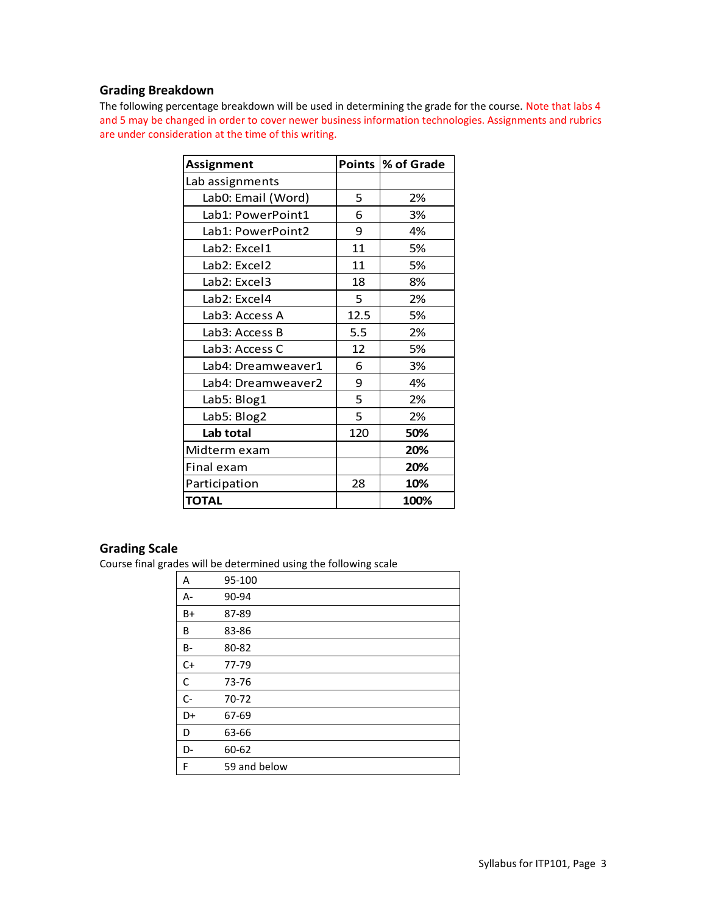## **Grading Breakdown**

The following percentage breakdown will be used in determining the grade for the course. Note that labs 4 and 5 may be changed in order to cover newer business information technologies. Assignments and rubrics are under consideration at the time of this writing.

| <b>Assignment</b>  |      | Points  % of Grade |
|--------------------|------|--------------------|
| Lab assignments    |      |                    |
| Lab0: Email (Word) | 5    | 2%                 |
| Lab1: PowerPoint1  | 6    | 3%                 |
| Lab1: PowerPoint2  | 9    | 4%                 |
| Lab2: Excel1       | 11   | 5%                 |
| Lab2: Excel2       | 11   | 5%                 |
| Lab2: Excel3       | 18   | 8%                 |
| Lab2: Excel4       | 5    | 2%                 |
| Lab3: Access A     | 12.5 | 5%                 |
| Lab3: Access B     | 5.5  | 2%                 |
| Lab3: Access C     | 12   | 5%                 |
| Lab4: Dreamweaver1 | 6    | 3%                 |
| Lab4: Dreamweaver2 | 9    | 4%                 |
| Lab5: Blog1        | 5    | 2%                 |
| Lab5: Blog2        | 5    | 2%                 |
| Lab total          | 120  | 50%                |
| Midterm exam       |      | 20%                |
| Final exam         |      | 20%                |
| Participation      | 28   | 10%                |
| <b>TOTAL</b>       |      | 100%               |

## **Grading Scale**

Course final grades will be determined using the following scale

| Α         | 95-100       |
|-----------|--------------|
| $A -$     | 90-94        |
| B+        | 87-89        |
| В         | 83-86        |
| <b>B-</b> | 80-82        |
| $C+$      | 77-79        |
| C         | 73-76        |
| $C -$     | 70-72        |
| D+        | 67-69        |
| D         | 63-66        |
| D-        | 60-62        |
| F         | 59 and below |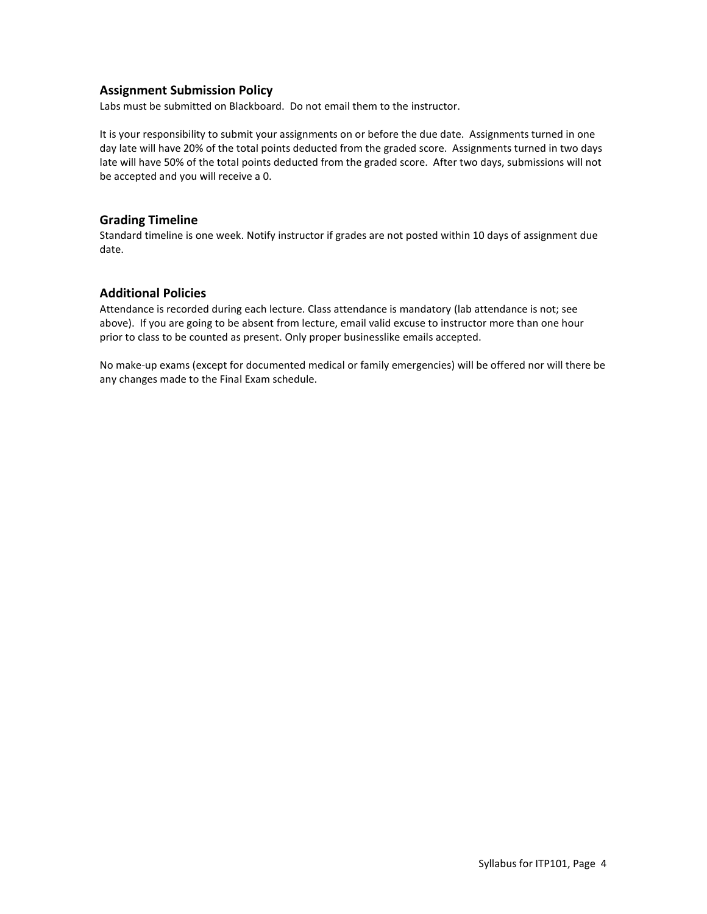#### **Assignment Submission Policy**

Labs must be submitted on Blackboard. Do not email them to the instructor.

It is your responsibility to submit your assignments on or before the due date. Assignments turned in one day late will have 20% of the total points deducted from the graded score. Assignments turned in two days late will have 50% of the total points deducted from the graded score. After two days, submissions will not be accepted and you will receive a 0.

#### **Grading Timeline**

Standard timeline is one week. Notify instructor if grades are not posted within 10 days of assignment due date.

#### **Additional Policies**

Attendance is recorded during each lecture. Class attendance is mandatory (lab attendance is not; see above). If you are going to be absent from lecture, email valid excuse to instructor more than one hour prior to class to be counted as present. Only proper businesslike emails accepted.

No make-up exams (except for documented medical or family emergencies) will be offered nor will there be any changes made to the Final Exam schedule.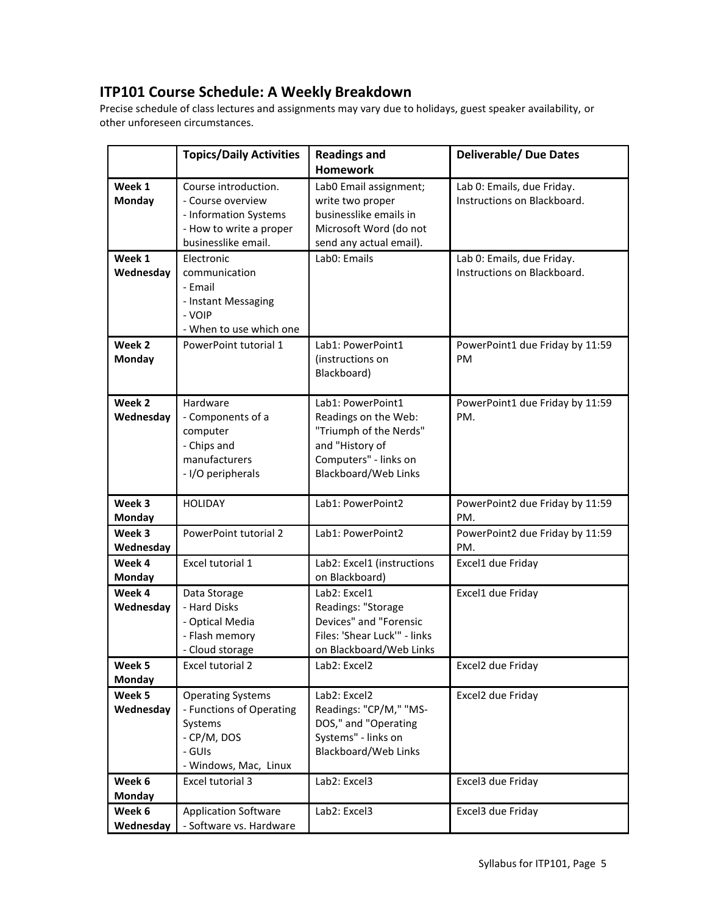# **ITP101 Course Schedule: A Weekly Breakdown**

Precise schedule of class lectures and assignments may vary due to holidays, guest speaker availability, or other unforeseen circumstances.

|                         | <b>Topics/Daily Activities</b>                                                                                       | <b>Readings and</b>                                                                                                                     | <b>Deliverable/ Due Dates</b>                             |
|-------------------------|----------------------------------------------------------------------------------------------------------------------|-----------------------------------------------------------------------------------------------------------------------------------------|-----------------------------------------------------------|
|                         |                                                                                                                      | <b>Homework</b>                                                                                                                         |                                                           |
| Week 1<br><b>Monday</b> | Course introduction.<br>- Course overview<br>- Information Systems<br>- How to write a proper<br>businesslike email. | Lab0 Email assignment;<br>write two proper<br>businesslike emails in<br>Microsoft Word (do not<br>send any actual email).               | Lab 0: Emails, due Friday.<br>Instructions on Blackboard. |
| Week 1<br>Wednesday     | Electronic<br>communication<br>- Email<br>- Instant Messaging<br>- VOIP<br>- When to use which one                   | Lab0: Emails                                                                                                                            | Lab 0: Emails, due Friday.<br>Instructions on Blackboard. |
| Week 2<br>Monday        | PowerPoint tutorial 1                                                                                                | Lab1: PowerPoint1<br>(instructions on<br>Blackboard)                                                                                    | PowerPoint1 due Friday by 11:59<br>PM.                    |
| Week 2<br>Wednesday     | Hardware<br>- Components of a<br>computer<br>- Chips and<br>manufacturers<br>- I/O peripherals                       | Lab1: PowerPoint1<br>Readings on the Web:<br>"Triumph of the Nerds"<br>and "History of<br>Computers" - links on<br>Blackboard/Web Links | PowerPoint1 due Friday by 11:59<br>PM.                    |
| Week 3<br><b>Monday</b> | <b>HOLIDAY</b>                                                                                                       | Lab1: PowerPoint2                                                                                                                       | PowerPoint2 due Friday by 11:59<br>PM.                    |
| Week 3<br>Wednesday     | PowerPoint tutorial 2                                                                                                | Lab1: PowerPoint2                                                                                                                       | PowerPoint2 due Friday by 11:59<br>PM.                    |
| Week 4<br>Monday        | Excel tutorial 1                                                                                                     | Lab2: Excel1 (instructions<br>on Blackboard)                                                                                            | Excel1 due Friday                                         |
| Week 4<br>Wednesday     | Data Storage<br>- Hard Disks<br>- Optical Media<br>- Flash memory<br>- Cloud storage                                 | Lab2: Excel1<br>Readings: "Storage<br>Devices" and "Forensic<br>Files: 'Shear Luck'" - links<br>on Blackboard/Web Links                 | Excel1 due Friday                                         |
| Week 5<br>Monday        | Excel tutorial 2                                                                                                     | Lab2: Excel2                                                                                                                            | Excel2 due Friday                                         |
| Week 5<br>Wednesday     | <b>Operating Systems</b><br>- Functions of Operating<br>Systems<br>- CP/M, DOS<br>- GUIs<br>- Windows, Mac, Linux    | Lab2: Excel2<br>Readings: "CP/M," "MS-<br>DOS," and "Operating<br>Systems" - links on<br>Blackboard/Web Links                           | Excel2 due Friday                                         |
| Week 6<br><b>Monday</b> | Excel tutorial 3                                                                                                     | Lab2: Excel3                                                                                                                            | Excel3 due Friday                                         |
| Week 6<br>Wednesday     | <b>Application Software</b><br>- Software vs. Hardware                                                               | Lab2: Excel3                                                                                                                            | Excel3 due Friday                                         |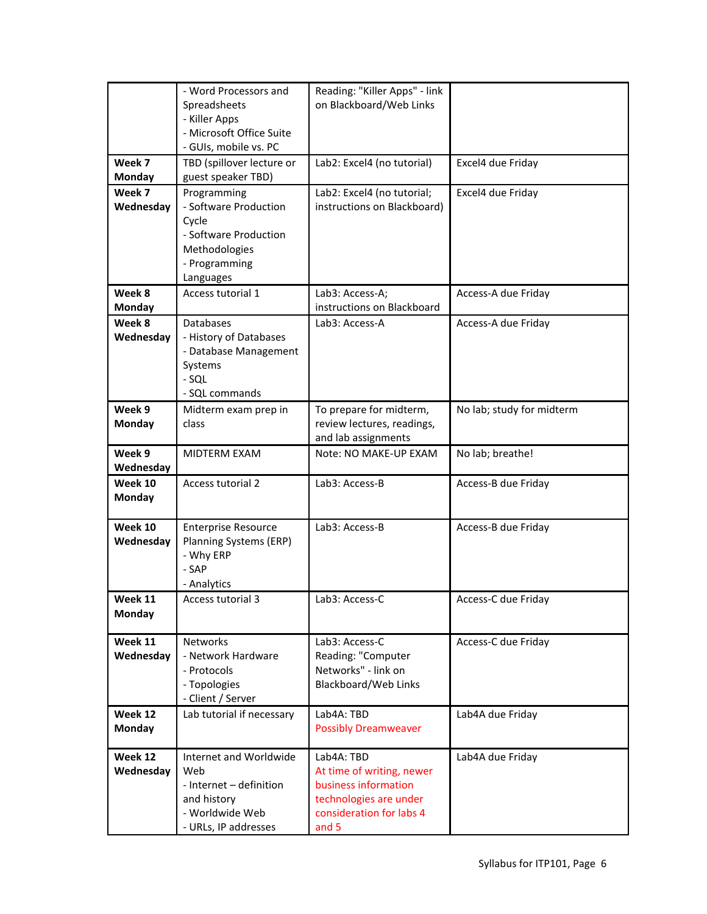|                      | - Word Processors and                     | Reading: "Killer Apps" - link                     |                           |
|----------------------|-------------------------------------------|---------------------------------------------------|---------------------------|
|                      | Spreadsheets                              | on Blackboard/Web Links                           |                           |
|                      | - Killer Apps<br>- Microsoft Office Suite |                                                   |                           |
|                      | - GUIs, mobile vs. PC                     |                                                   |                           |
| Week 7               | TBD (spillover lecture or                 | Lab2: Excel4 (no tutorial)                        | Excel4 due Friday         |
| Monday               | guest speaker TBD)                        |                                                   |                           |
| Week 7               | Programming                               | Lab2: Excel4 (no tutorial;                        | Excel4 due Friday         |
| Wednesday            | - Software Production                     | instructions on Blackboard)                       |                           |
|                      | Cycle<br>- Software Production            |                                                   |                           |
|                      | Methodologies                             |                                                   |                           |
|                      | - Programming                             |                                                   |                           |
|                      | Languages                                 |                                                   |                           |
| Week 8               | Access tutorial 1                         | Lab3: Access-A;                                   | Access-A due Friday       |
| Monday               |                                           | instructions on Blackboard                        |                           |
| Week 8               | <b>Databases</b>                          | Lab3: Access-A                                    | Access-A due Friday       |
| Wednesday            | - History of Databases                    |                                                   |                           |
|                      | - Database Management<br>Systems          |                                                   |                           |
|                      | $-SQL$                                    |                                                   |                           |
|                      | - SQL commands                            |                                                   |                           |
| Week 9               | Midterm exam prep in                      | To prepare for midterm,                           | No lab; study for midterm |
| Monday               | class                                     | review lectures, readings,                        |                           |
|                      |                                           | and lab assignments                               |                           |
| Week 9               | MIDTERM EXAM                              | Note: NO MAKE-UP EXAM                             | No lab; breathe!          |
| Wednesday<br>Week 10 | Access tutorial 2                         | Lab3: Access-B                                    | Access-B due Friday       |
| Monday               |                                           |                                                   |                           |
|                      |                                           |                                                   |                           |
| Week 10              | <b>Enterprise Resource</b>                | Lab3: Access-B                                    | Access-B due Friday       |
| Wednesday            | Planning Systems (ERP)                    |                                                   |                           |
|                      | - Why ERP                                 |                                                   |                           |
|                      | - SAP<br>- Analytics                      |                                                   |                           |
| Week 11              | Access tutorial 3                         | Lab3: Access-C                                    | Access-C due Friday       |
| Monday               |                                           |                                                   |                           |
|                      |                                           |                                                   |                           |
| Week 11              | <b>Networks</b>                           | Lab3: Access-C                                    | Access-C due Friday       |
| Wednesday            | - Network Hardware<br>- Protocols         | Reading: "Computer<br>Networks" - link on         |                           |
|                      | - Topologies                              | <b>Blackboard/Web Links</b>                       |                           |
|                      | - Client / Server                         |                                                   |                           |
| Week 12              | Lab tutorial if necessary                 | Lab4A: TBD                                        | Lab4A due Friday          |
| Monday               |                                           | <b>Possibly Dreamweaver</b>                       |                           |
|                      |                                           |                                                   |                           |
| Week 12              | Internet and Worldwide<br>Web             | Lab4A: TBD                                        | Lab4A due Friday          |
| Wednesday            | - Internet - definition                   | At time of writing, newer<br>business information |                           |
|                      | and history                               | technologies are under                            |                           |
|                      | - Worldwide Web                           | consideration for labs 4                          |                           |
|                      | - URLs, IP addresses                      | and 5                                             |                           |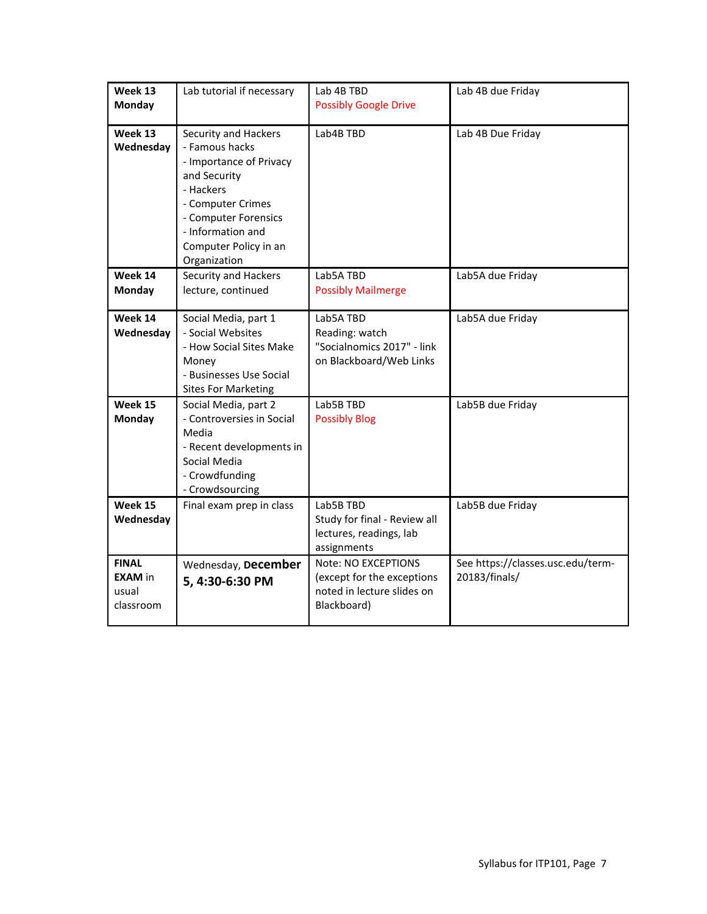| Week 13<br>Monday                                    | Lab tutorial if necessary                                                                                                                                                                                 | Lab 4B TBD<br><b>Possibly Google Drive</b>                                                     | Lab 4B due Friday                                  |
|------------------------------------------------------|-----------------------------------------------------------------------------------------------------------------------------------------------------------------------------------------------------------|------------------------------------------------------------------------------------------------|----------------------------------------------------|
| Week 13<br>Wednesday                                 | Security and Hackers<br>- Famous hacks<br>- Importance of Privacy<br>and Security<br>- Hackers<br>- Computer Crimes<br>- Computer Forensics<br>- Information and<br>Computer Policy in an<br>Organization | Lab4B TBD                                                                                      | Lab 4B Due Friday                                  |
| Week 14<br>Monday                                    | Security and Hackers<br>lecture, continued                                                                                                                                                                | Lab5A TBD<br><b>Possibly Mailmerge</b>                                                         | Lab5A due Friday                                   |
| Week 14<br>Wednesday                                 | Social Media, part 1<br>- Social Websites<br>- How Social Sites Make<br>Money<br>- Businesses Use Social<br><b>Sites For Marketing</b>                                                                    | Lab5A TBD<br>Reading: watch<br>"Socialnomics 2017" - link<br>on Blackboard/Web Links           | Lab5A due Friday                                   |
| Week 15<br><b>Monday</b>                             | Social Media, part 2<br>- Controversies in Social<br>Media<br>- Recent developments in<br>Social Media<br>- Crowdfunding<br>- Crowdsourcing                                                               | Lab5B TBD<br><b>Possibly Blog</b>                                                              | Lab5B due Friday                                   |
| Week 15<br>Wednesday                                 | Final exam prep in class                                                                                                                                                                                  | Lab5B TBD<br>Study for final - Review all<br>lectures, readings, lab<br>assignments            | Lab5B due Friday                                   |
| <b>FINAL</b><br><b>EXAM</b> in<br>usual<br>classroom | Wednesday, December<br>5, 4:30-6:30 PM                                                                                                                                                                    | Note: NO EXCEPTIONS<br>(except for the exceptions<br>noted in lecture slides on<br>Blackboard) | See https://classes.usc.edu/term-<br>20183/finals/ |